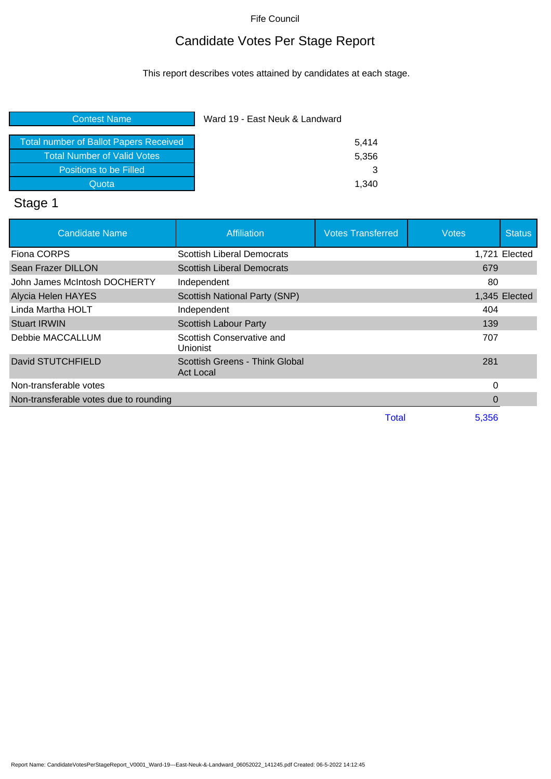## Candidate Votes Per Stage Report

This report describes votes attained by candidates at each stage.

| <b>Contest Name</b>                           | Ward 19 - East Neuk & Landward |       |
|-----------------------------------------------|--------------------------------|-------|
|                                               |                                |       |
| <b>Total number of Ballot Papers Received</b> |                                | 5.414 |
| <b>Total Number of Valid Votes</b>            |                                | 5,356 |
| Positions to be Filled                        |                                |       |
| Quota                                         |                                | 1.340 |
|                                               |                                |       |

# Stage 1

| <b>Candidate Name</b>                  | Affiliation                                 | <b>Votes Transferred</b> | <b>Votes</b> | <b>Status</b> |
|----------------------------------------|---------------------------------------------|--------------------------|--------------|---------------|
| Fiona CORPS                            | Scottish Liberal Democrats                  |                          |              | 1,721 Elected |
| Sean Frazer DILLON                     | <b>Scottish Liberal Democrats</b>           |                          | 679          |               |
| John James McIntosh DOCHERTY           | Independent                                 |                          | 80           |               |
| Alycia Helen HAYES                     | Scottish National Party (SNP)               |                          |              | 1,345 Elected |
| Linda Martha HOLT                      | Independent                                 |                          | 404          |               |
| <b>Stuart IRWIN</b>                    | <b>Scottish Labour Party</b>                |                          | 139          |               |
| Debbie MACCALLUM                       | Scottish Conservative and<br>Unionist       |                          | 707          |               |
| David STUTCHFIELD                      | Scottish Greens - Think Global<br>Act Local |                          | 281          |               |
| Non-transferable votes                 |                                             |                          | 0            |               |
| Non-transferable votes due to rounding |                                             |                          | 0            |               |
|                                        |                                             | <b>Total</b>             | 5,356        |               |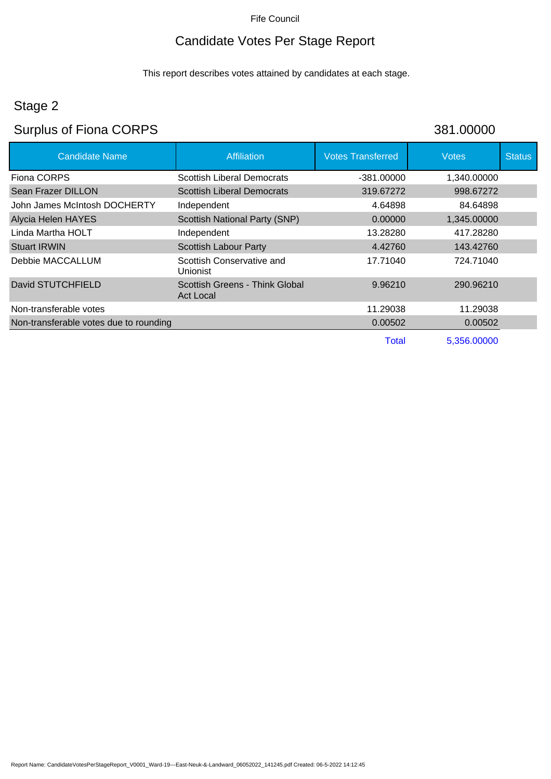## Candidate Votes Per Stage Report

This report describes votes attained by candidates at each stage.

## Stage 2

## Surplus of Fiona CORPS 381.00000

| <b>Candidate Name</b>                  | <b>Affiliation</b>                          | <b>Votes Transferred</b> | <b>Votes</b> | <b>Status</b> |
|----------------------------------------|---------------------------------------------|--------------------------|--------------|---------------|
| Fiona CORPS                            | <b>Scottish Liberal Democrats</b>           | $-381.00000$             | 1,340.00000  |               |
| Sean Frazer DILLON                     | <b>Scottish Liberal Democrats</b>           | 319.67272                | 998.67272    |               |
| John James McIntosh DOCHERTY           | Independent                                 | 4.64898                  | 84.64898     |               |
| Alycia Helen HAYES                     | Scottish National Party (SNP)               | 0.00000                  | 1,345.00000  |               |
| Linda Martha HOLT                      | Independent                                 | 13.28280                 | 417.28280    |               |
| <b>Stuart IRWIN</b>                    | <b>Scottish Labour Party</b>                | 4.42760                  | 143.42760    |               |
| Debbie MACCALLUM                       | Scottish Conservative and<br>Unionist       | 17.71040                 | 724.71040    |               |
| David STUTCHFIELD                      | Scottish Greens - Think Global<br>Act Local | 9.96210                  | 290.96210    |               |
| Non-transferable votes                 |                                             | 11.29038                 | 11.29038     |               |
| Non-transferable votes due to rounding |                                             | 0.00502                  | 0.00502      |               |
|                                        |                                             | Total                    | 5,356.00000  |               |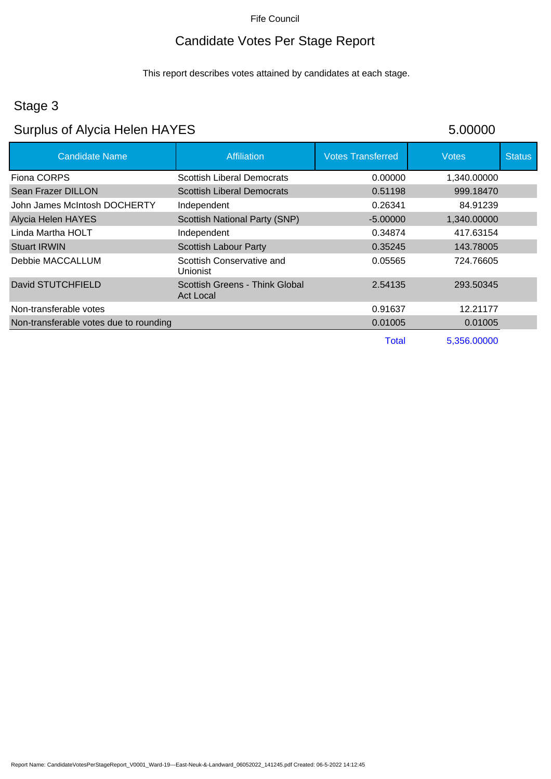## Candidate Votes Per Stage Report

This report describes votes attained by candidates at each stage.

## Stage 3

# Surplus of Alycia Helen HAYES 5.00000

| <b>Candidate Name</b>                  | <b>Affiliation</b>                          | <b>Votes Transferred</b> | <b>Votes</b> | <b>Status</b> |
|----------------------------------------|---------------------------------------------|--------------------------|--------------|---------------|
| Fiona CORPS                            | <b>Scottish Liberal Democrats</b>           | 0.00000                  | 1,340.00000  |               |
| Sean Frazer DILLON                     | <b>Scottish Liberal Democrats</b>           | 0.51198                  | 999.18470    |               |
| John James McIntosh DOCHERTY           | Independent                                 | 0.26341                  | 84.91239     |               |
| <b>Alycia Helen HAYES</b>              | <b>Scottish National Party (SNP)</b>        | $-5.00000$               | 1,340.00000  |               |
| Linda Martha HOLT                      | Independent                                 | 0.34874                  | 417.63154    |               |
| <b>Stuart IRWIN</b>                    | <b>Scottish Labour Party</b>                | 0.35245                  | 143.78005    |               |
| Debbie MACCALLUM                       | Scottish Conservative and<br>Unionist       | 0.05565                  | 724.76605    |               |
| David STUTCHFIELD                      | Scottish Greens - Think Global<br>Act Local | 2.54135                  | 293.50345    |               |
| Non-transferable votes                 |                                             | 0.91637                  | 12.21177     |               |
| Non-transferable votes due to rounding |                                             | 0.01005                  | 0.01005      |               |
|                                        |                                             | Total                    | 5,356.00000  |               |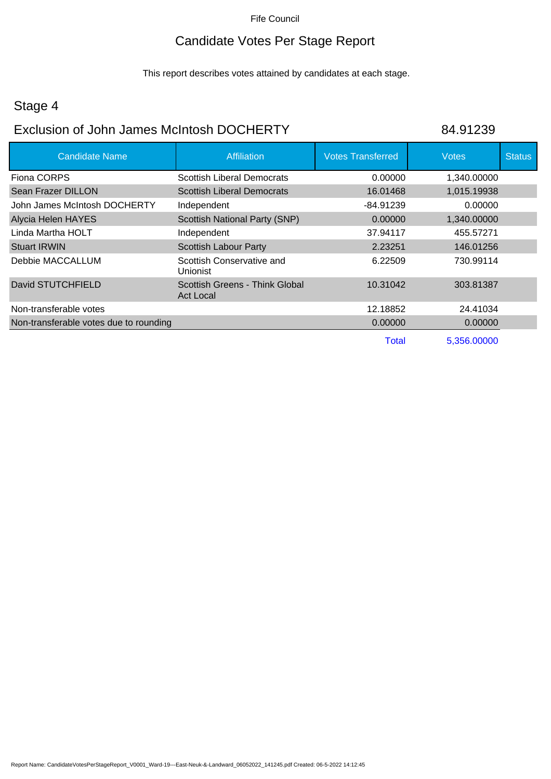## Candidate Votes Per Stage Report

This report describes votes attained by candidates at each stage.

## Stage 4

### Exclusion of John James McIntosh DOCHERTY 84.91239

| <b>Candidate Name</b>                  | <b>Affiliation</b>                                 | <b>Votes Transferred</b> | <b>Votes</b> | <b>Status</b> |
|----------------------------------------|----------------------------------------------------|--------------------------|--------------|---------------|
| Fiona CORPS                            | <b>Scottish Liberal Democrats</b>                  | 0.00000                  | 1,340.00000  |               |
| Sean Frazer DILLON                     | <b>Scottish Liberal Democrats</b>                  | 16.01468                 | 1,015.19938  |               |
| John James McIntosh DOCHERTY           | Independent                                        | -84.91239                | 0.00000      |               |
| Alycia Helen HAYES                     | <b>Scottish National Party (SNP)</b>               | 0.00000                  | 1,340.00000  |               |
| Linda Martha HOLT                      | Independent                                        | 37.94117                 | 455.57271    |               |
| <b>Stuart IRWIN</b>                    | <b>Scottish Labour Party</b>                       | 2.23251                  | 146.01256    |               |
| Debbie MACCALLUM                       | Scottish Conservative and<br>Unionist              | 6.22509                  | 730.99114    |               |
| David STUTCHFIELD                      | Scottish Greens - Think Global<br><b>Act Local</b> | 10.31042                 | 303.81387    |               |
| Non-transferable votes                 |                                                    | 12.18852                 | 24.41034     |               |
| Non-transferable votes due to rounding |                                                    | 0.00000                  | 0.00000      |               |
|                                        |                                                    | <b>Total</b>             | 5,356.00000  |               |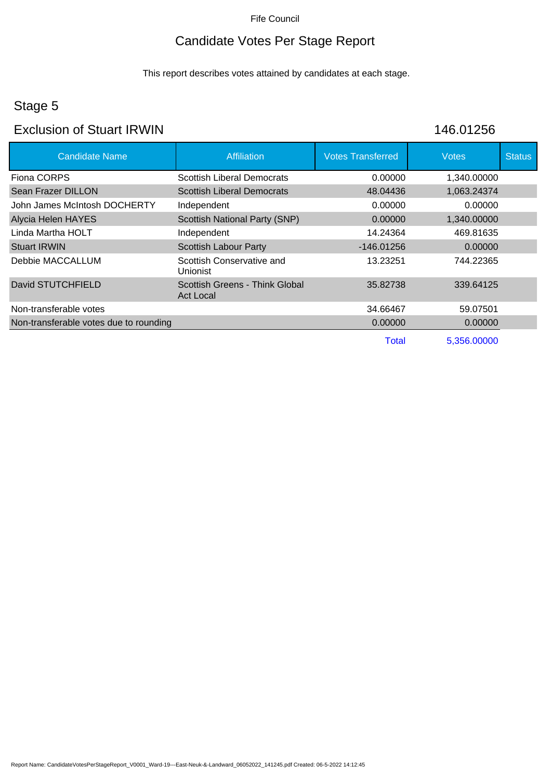## Candidate Votes Per Stage Report

This report describes votes attained by candidates at each stage.

## Stage 5

### Exclusion of Stuart IRWIN 146.01256

| <b>Candidate Name</b>                  | <b>Affiliation</b>                                 | <b>Votes Transferred</b> | <b>Votes</b> | <b>Status</b> |
|----------------------------------------|----------------------------------------------------|--------------------------|--------------|---------------|
| Fiona CORPS                            | <b>Scottish Liberal Democrats</b>                  | 0.00000                  | 1,340.00000  |               |
| Sean Frazer DILLON                     | <b>Scottish Liberal Democrats</b>                  | 48.04436                 | 1,063.24374  |               |
| John James McIntosh DOCHERTY           | Independent                                        | 0.00000                  | 0.00000      |               |
| Alycia Helen HAYES                     | <b>Scottish National Party (SNP)</b>               | 0.00000                  | 1,340.00000  |               |
| Linda Martha HOLT                      | Independent                                        | 14.24364                 | 469.81635    |               |
| <b>Stuart IRWIN</b>                    | <b>Scottish Labour Party</b>                       | $-146.01256$             | 0.00000      |               |
| Debbie MACCALLUM                       | Scottish Conservative and<br>Unionist              | 13.23251                 | 744.22365    |               |
| David STUTCHFIELD                      | Scottish Greens - Think Global<br><b>Act Local</b> | 35.82738                 | 339.64125    |               |
| Non-transferable votes                 |                                                    | 34.66467                 | 59.07501     |               |
| Non-transferable votes due to rounding |                                                    | 0.00000                  | 0.00000      |               |
|                                        |                                                    | Total                    | 5,356.00000  |               |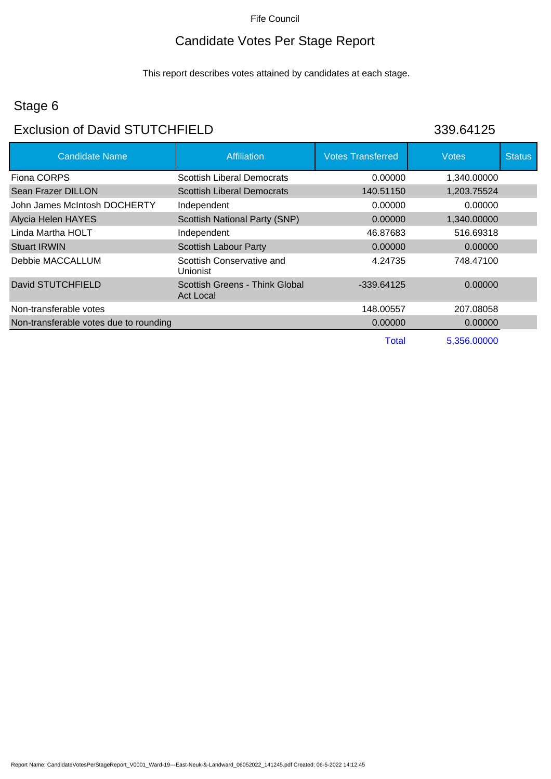## Candidate Votes Per Stage Report

This report describes votes attained by candidates at each stage.

## Stage 6

### Exclusion of David STUTCHFIELD 339.64125

| <b>Candidate Name</b>                  | <b>Affiliation</b>                                 | <b>Votes Transferred</b> | <b>Votes</b> | <b>Status</b> |
|----------------------------------------|----------------------------------------------------|--------------------------|--------------|---------------|
| Fiona CORPS                            | <b>Scottish Liberal Democrats</b>                  | 0.00000                  | 1,340.00000  |               |
| Sean Frazer DILLON                     | <b>Scottish Liberal Democrats</b>                  | 140.51150                | 1,203.75524  |               |
| John James McIntosh DOCHERTY           | Independent                                        | 0.00000                  | 0.00000      |               |
| <b>Alycia Helen HAYES</b>              | <b>Scottish National Party (SNP)</b>               | 0.00000                  | 1,340.00000  |               |
| Linda Martha HOLT                      | Independent                                        | 46.87683                 | 516.69318    |               |
| <b>Stuart IRWIN</b>                    | <b>Scottish Labour Party</b>                       | 0.00000                  | 0.00000      |               |
| Debbie MACCALLUM                       | Scottish Conservative and<br>Unionist              | 4.24735                  | 748.47100    |               |
| David STUTCHFIELD                      | Scottish Greens - Think Global<br><b>Act Local</b> | $-339.64125$             | 0.00000      |               |
| Non-transferable votes                 |                                                    | 148.00557                | 207.08058    |               |
| Non-transferable votes due to rounding |                                                    | 0.00000                  | 0.00000      |               |
|                                        |                                                    | Total                    | 5,356.00000  |               |